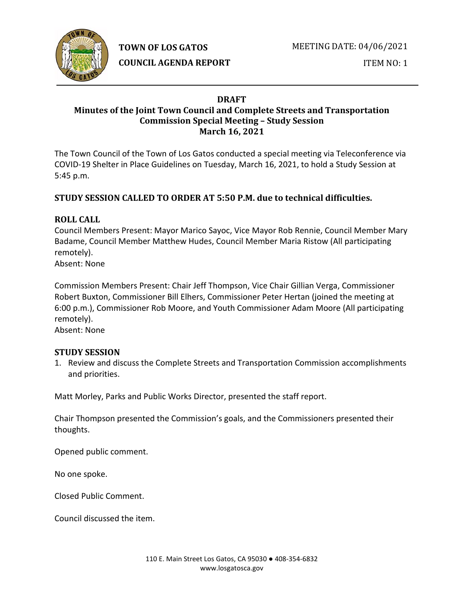

**TOWN OF LOS GATOS** 

**COUNCIL AGENDA REPORT**

ITEM NO: 1

#### **DRAFT Minutes of the Joint Town Council and Complete Streets and Transportation Commission Special Meeting – Study Session March 16, 2021**

The Town Council of the Town of Los Gatos conducted a special meeting via Teleconference via COVID-19 Shelter in Place Guidelines on Tuesday, March 16, 2021, to hold a Study Session at 5:45 p.m.

## **STUDY SESSION CALLED TO ORDER AT 5:50 P.M. due to technical difficulties.**

### **ROLL CALL**

Council Members Present: Mayor Marico Sayoc, Vice Mayor Rob Rennie, Council Member Mary Badame, Council Member Matthew Hudes, Council Member Maria Ristow (All participating remotely).

Absent: None

Commission Members Present: Chair Jeff Thompson, Vice Chair Gillian Verga, Commissioner Robert Buxton, Commissioner Bill Elhers, Commissioner Peter Hertan (joined the meeting at 6:00 p.m.), Commissioner Rob Moore, and Youth Commissioner Adam Moore (All participating remotely).

Absent: None

#### **STUDY SESSION**

1. Review and discuss the Complete Streets and Transportation Commission accomplishments and priorities.

Matt Morley, Parks and Public Works Director, presented the staff report.

Chair Thompson presented the Commission's goals, and the Commissioners presented their thoughts.

Opened public comment.

No one spoke.

Closed Public Comment.

Council discussed the item.